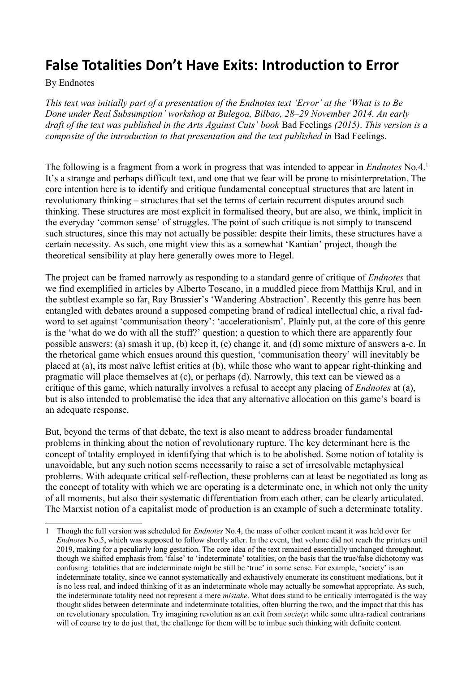# **False Totalities Don't Have Exits: Introduction to Error**

## By Endnotes

*This text was initially part of a presentation of the Endnotes text 'Error' at the 'What is to Be Done under Real Subsumption' workshop at Bulegoa, Bilbao, 28–29 November 2014. An early draft of the text was published in the Arts Against Cuts' book* Bad Feelings *(2015)*. *This version is a composite of the introduction to that presentation and the text published in Bad Feelings.* 

The following is a fragment from a work in progress that was intended to appear in *Endnotes* No*.*4. [1](#page-0-0) It's a strange and perhaps difficult text, and one that we fear will be prone to misinterpretation. The core intention here is to identify and critique fundamental conceptual structures that are latent in revolutionary thinking – structures that set the terms of certain recurrent disputes around such thinking. These structures are most explicit in formalised theory, but are also, we think, implicit in the everyday 'common sense' of struggles. The point of such critique is not simply to transcend such structures, since this may not actually be possible: despite their limits, these structures have a certain necessity. As such, one might view this as a somewhat 'Kantian' project, though the theoretical sensibility at play here generally owes more to Hegel.

The project can be framed narrowly as responding to a standard genre of critique of *Endnotes* that we find exemplified in articles by Alberto Toscano, in a muddled piece from Matthijs Krul, and in the subtlest example so far, Ray Brassier's 'Wandering Abstraction'. Recently this genre has been entangled with debates around a supposed competing brand of radical intellectual chic, a rival fadword to set against 'communisation theory': 'accelerationism'. Plainly put, at the core of this genre is the 'what do we do with all the stuff?' question; a question to which there are apparently four possible answers: (a) smash it up, (b) keep it, (c) change it, and (d) some mixture of answers a-c. In the rhetorical game which ensues around this question, 'communisation theory' will inevitably be placed at (a), its most naïve leftist critics at (b), while those who want to appear right-thinking and pragmatic will place themselves at (c), or perhaps (d). Narrowly, this text can be viewed as a critique of this game, which naturally involves a refusal to accept any placing of *Endnotes* at (a), but is also intended to problematise the idea that any alternative allocation on this game's board is an adequate response.

But, beyond the terms of that debate, the text is also meant to address broader fundamental problems in thinking about the notion of revolutionary rupture. The key determinant here is the concept of totality employed in identifying that which is to be abolished. Some notion of totality is unavoidable, but any such notion seems necessarily to raise a set of irresolvable metaphysical problems. With adequate critical self-reflection, these problems can at least be negotiated as long as the concept of totality with which we are operating is a determinate one, in which not only the unity of all moments, but also their systematic differentiation from each other, can be clearly articulated. The Marxist notion of a capitalist mode of production is an example of such a determinate totality.

<span id="page-0-0"></span><sup>1</sup> Though the full version was scheduled for *Endnotes* No.4, the mass of other content meant it was held over for *Endnotes* No.5, which was supposed to follow shortly after. In the event, that volume did not reach the printers until 2019, making for a peculiarly long gestation. The core idea of the text remained essentially unchanged throughout, though we shifted emphasis from 'false' to 'indeterminate' totalities, on the basis that the true/false dichotomy was confusing: totalities that are indeterminate might be still be 'true' in some sense. For example, 'society' is an indeterminate totality, since we cannot systematically and exhaustively enumerate its constituent mediations, but it is no less real, and indeed thinking of it as an indeterminate whole may actually be somewhat appropriate. As such, the indeterminate totality need not represent a mere *mistake*. What does stand to be critically interrogated is the way thought slides between determinate and indeterminate totalities, often blurring the two, and the impact that this has on revolutionary speculation. Try imagining revolution as an exit from *society*: while some ultra-radical contrarians will of course try to do just that, the challenge for them will be to imbue such thinking with definite content.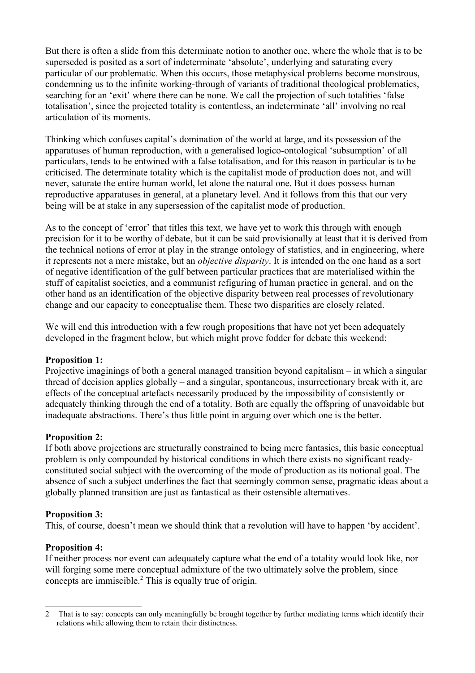But there is often a slide from this determinate notion to another one, where the whole that is to be superseded is posited as a sort of indeterminate 'absolute', underlying and saturating every particular of our problematic. When this occurs, those metaphysical problems become monstrous, condemning us to the infinite working-through of variants of traditional theological problematics, searching for an 'exit' where there can be none. We call the projection of such totalities 'false totalisation', since the projected totality is contentless, an indeterminate 'all' involving no real articulation of its moments.

Thinking which confuses capital's domination of the world at large, and its possession of the apparatuses of human reproduction, with a generalised logico-ontological 'subsumption' of all particulars, tends to be entwined with a false totalisation, and for this reason in particular is to be criticised. The determinate totality which is the capitalist mode of production does not, and will never, saturate the entire human world, let alone the natural one. But it does possess human reproductive apparatuses in general, at a planetary level. And it follows from this that our very being will be at stake in any supersession of the capitalist mode of production.

As to the concept of 'error' that titles this text, we have yet to work this through with enough precision for it to be worthy of debate, but it can be said provisionally at least that it is derived from the technical notions of error at play in the strange ontology of statistics, and in engineering, where it represents not a mere mistake, but an *objective disparity*. It is intended on the one hand as a sort of negative identification of the gulf between particular practices that are materialised within the stuff of capitalist societies, and a communist refiguring of human practice in general, and on the other hand as an identification of the objective disparity between real processes of revolutionary change and our capacity to conceptualise them. These two disparities are closely related.

We will end this introduction with a few rough propositions that have not yet been adequately developed in the fragment below, but which might prove fodder for debate this weekend:

# **Proposition 1:**

Projective imaginings of both a general managed transition beyond capitalism – in which a singular thread of decision applies globally – and a singular, spontaneous, insurrectionary break with it, are effects of the conceptual artefacts necessarily produced by the impossibility of consistently or adequately thinking through the end of a totality. Both are equally the offspring of unavoidable but inadequate abstractions. There's thus little point in arguing over which one is the better.

## **Proposition 2:**

If both above projections are structurally constrained to being mere fantasies, this basic conceptual problem is only compounded by historical conditions in which there exists no significant readyconstituted social subject with the overcoming of the mode of production as its notional goal. The absence of such a subject underlines the fact that seemingly common sense, pragmatic ideas about a globally planned transition are just as fantastical as their ostensible alternatives.

## **Proposition 3:**

This, of course, doesn't mean we should think that a revolution will have to happen 'by accident'.

# **Proposition 4:**

If neither process nor event can adequately capture what the end of a totality would look like, nor will forging some mere conceptual admixture of the two ultimately solve the problem, since concepts are immiscible.<sup>[2](#page-1-0)</sup> This is equally true of origin.

<span id="page-1-0"></span><sup>2</sup> That is to say: concepts can only meaningfully be brought together by further mediating terms which identify their relations while allowing them to retain their distinctness.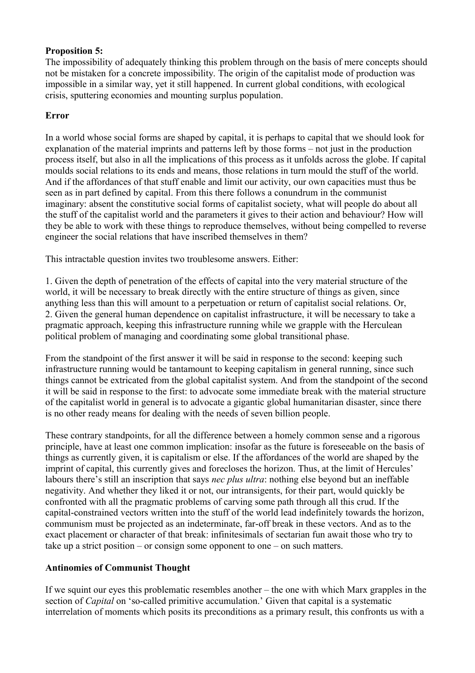# **Proposition 5:**

The impossibility of adequately thinking this problem through on the basis of mere concepts should not be mistaken for a concrete impossibility. The origin of the capitalist mode of production was impossible in a similar way, yet it still happened. In current global conditions, with ecological crisis, sputtering economies and mounting surplus population.

## **Error**

In a world whose social forms are shaped by capital, it is perhaps to capital that we should look for explanation of the material imprints and patterns left by those forms – not just in the production process itself, but also in all the implications of this process as it unfolds across the globe. If capital moulds social relations to its ends and means, those relations in turn mould the stuff of the world. And if the affordances of that stuff enable and limit our activity, our own capacities must thus be seen as in part defined by capital. From this there follows a conundrum in the communist imaginary: absent the constitutive social forms of capitalist society, what will people do about all the stuff of the capitalist world and the parameters it gives to their action and behaviour? How will they be able to work with these things to reproduce themselves, without being compelled to reverse engineer the social relations that have inscribed themselves in them?

This intractable question invites two troublesome answers. Either:

1. Given the depth of penetration of the effects of capital into the very material structure of the world, it will be necessary to break directly with the entire structure of things as given, since anything less than this will amount to a perpetuation or return of capitalist social relations. Or, 2. Given the general human dependence on capitalist infrastructure, it will be necessary to take a pragmatic approach, keeping this infrastructure running while we grapple with the Herculean political problem of managing and coordinating some global transitional phase.

From the standpoint of the first answer it will be said in response to the second: keeping such infrastructure running would be tantamount to keeping capitalism in general running, since such things cannot be extricated from the global capitalist system. And from the standpoint of the second it will be said in response to the first: to advocate some immediate break with the material structure of the capitalist world in general is to advocate a gigantic global humanitarian disaster, since there is no other ready means for dealing with the needs of seven billion people.

These contrary standpoints, for all the difference between a homely common sense and a rigorous principle, have at least one common implication: insofar as the future is foreseeable on the basis of things as currently given, it is capitalism or else. If the affordances of the world are shaped by the imprint of capital, this currently gives and forecloses the horizon. Thus, at the limit of Hercules' labours there's still an inscription that says *nec plus ultra*: nothing else beyond but an ineffable negativity. And whether they liked it or not, our intransigents, for their part, would quickly be confronted with all the pragmatic problems of carving some path through all this crud. If the capital-constrained vectors written into the stuff of the world lead indefinitely towards the horizon, communism must be projected as an indeterminate, far-off break in these vectors. And as to the exact placement or character of that break: infinitesimals of sectarian fun await those who try to take up a strict position – or consign some opponent to one – on such matters.

# **Antinomies of Communist Thought**

If we squint our eyes this problematic resembles another – the one with which Marx grapples in the section of *Capital* on 'so-called primitive accumulation.' Given that capital is a systematic interrelation of moments which posits its preconditions as a primary result, this confronts us with a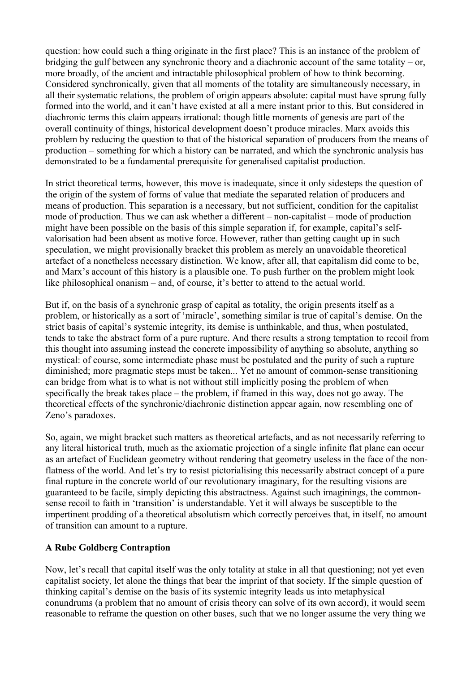question: how could such a thing originate in the first place? This is an instance of the problem of bridging the gulf between any synchronic theory and a diachronic account of the same totality – or, more broadly, of the ancient and intractable philosophical problem of how to think becoming. Considered synchronically, given that all moments of the totality are simultaneously necessary, in all their systematic relations, the problem of origin appears absolute: capital must have sprung fully formed into the world, and it can't have existed at all a mere instant prior to this. But considered in diachronic terms this claim appears irrational: though little moments of genesis are part of the overall continuity of things, historical development doesn't produce miracles. Marx avoids this problem by reducing the question to that of the historical separation of producers from the means of production – something for which a history can be narrated, and which the synchronic analysis has demonstrated to be a fundamental prerequisite for generalised capitalist production.

In strict theoretical terms, however, this move is inadequate, since it only sidesteps the question of the origin of the system of forms of value that mediate the separated relation of producers and means of production. This separation is a necessary, but not sufficient, condition for the capitalist mode of production. Thus we can ask whether a different – non-capitalist – mode of production might have been possible on the basis of this simple separation if, for example, capital's selfvalorisation had been absent as motive force. However, rather than getting caught up in such speculation, we might provisionally bracket this problem as merely an unavoidable theoretical artefact of a nonetheless necessary distinction. We know, after all, that capitalism did come to be, and Marx's account of this history is a plausible one. To push further on the problem might look like philosophical onanism – and, of course, it's better to attend to the actual world.

But if, on the basis of a synchronic grasp of capital as totality, the origin presents itself as a problem, or historically as a sort of 'miracle', something similar is true of capital's demise. On the strict basis of capital's systemic integrity, its demise is unthinkable, and thus, when postulated, tends to take the abstract form of a pure rupture. And there results a strong temptation to recoil from this thought into assuming instead the concrete impossibility of anything so absolute, anything so mystical: of course, some intermediate phase must be postulated and the purity of such a rupture diminished; more pragmatic steps must be taken... Yet no amount of common-sense transitioning can bridge from what is to what is not without still implicitly posing the problem of when specifically the break takes place – the problem, if framed in this way, does not go away. The theoretical effects of the synchronic/diachronic distinction appear again, now resembling one of Zeno's paradoxes.

So, again, we might bracket such matters as theoretical artefacts, and as not necessarily referring to any literal historical truth, much as the axiomatic projection of a single infinite flat plane can occur as an artefact of Euclidean geometry without rendering that geometry useless in the face of the nonflatness of the world. And let's try to resist pictorialising this necessarily abstract concept of a pure final rupture in the concrete world of our revolutionary imaginary, for the resulting visions are guaranteed to be facile, simply depicting this abstractness. Against such imaginings, the commonsense recoil to faith in 'transition' is understandable. Yet it will always be susceptible to the impertinent prodding of a theoretical absolutism which correctly perceives that, in itself, no amount of transition can amount to a rupture.

# **A Rube Goldberg Contraption**

Now, let's recall that capital itself was the only totality at stake in all that questioning; not yet even capitalist society, let alone the things that bear the imprint of that society. If the simple question of thinking capital's demise on the basis of its systemic integrity leads us into metaphysical conundrums (a problem that no amount of crisis theory can solve of its own accord), it would seem reasonable to reframe the question on other bases, such that we no longer assume the very thing we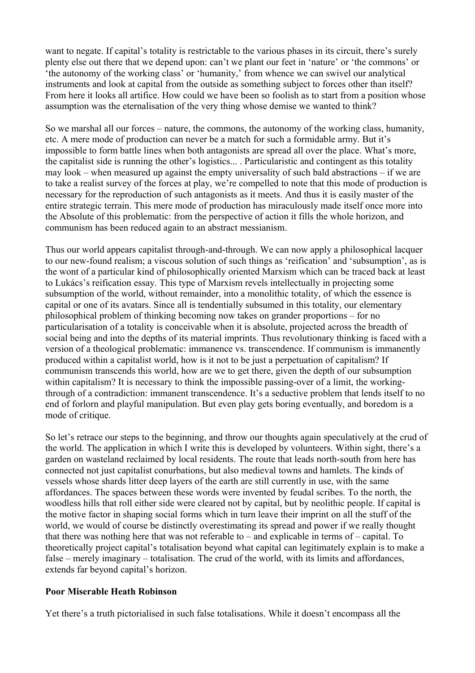want to negate. If capital's totality is restrictable to the various phases in its circuit, there's surely plenty else out there that we depend upon: can't we plant our feet in 'nature' or 'the commons' or 'the autonomy of the working class' or 'humanity,' from whence we can swivel our analytical instruments and look at capital from the outside as something subject to forces other than itself? From here it looks all artifice. How could we have been so foolish as to start from a position whose assumption was the eternalisation of the very thing whose demise we wanted to think?

So we marshal all our forces – nature, the commons, the autonomy of the working class, humanity, etc. A mere mode of production can never be a match for such a formidable army. But it's impossible to form battle lines when both antagonists are spread all over the place. What's more, the capitalist side is running the other's logistics... . Particularistic and contingent as this totality may look – when measured up against the empty universality of such bald abstractions – if we are to take a realist survey of the forces at play, we're compelled to note that this mode of production is necessary for the reproduction of such antagonists as it meets. And thus it is easily master of the entire strategic terrain. This mere mode of production has miraculously made itself once more into the Absolute of this problematic: from the perspective of action it fills the whole horizon, and communism has been reduced again to an abstract messianism.

Thus our world appears capitalist through-and-through. We can now apply a philosophical lacquer to our new-found realism; a viscous solution of such things as 'reification' and 'subsumption', as is the wont of a particular kind of philosophically oriented Marxism which can be traced back at least to Lukács's reification essay. This type of Marxism revels intellectually in projecting some subsumption of the world, without remainder, into a monolithic totality, of which the essence is capital or one of its avatars. Since all is tendentially subsumed in this totality, our elementary philosophical problem of thinking becoming now takes on grander proportions – for no particularisation of a totality is conceivable when it is absolute, projected across the breadth of social being and into the depths of its material imprints. Thus revolutionary thinking is faced with a version of a theological problematic: immanence vs. transcendence. If communism is immanently produced within a capitalist world, how is it not to be just a perpetuation of capitalism? If communism transcends this world, how are we to get there, given the depth of our subsumption within capitalism? It is necessary to think the impossible passing-over of a limit, the workingthrough of a contradiction: immanent transcendence. It's a seductive problem that lends itself to no end of forlorn and playful manipulation. But even play gets boring eventually, and boredom is a mode of critique.

So let's retrace our steps to the beginning, and throw our thoughts again speculatively at the crud of the world. The application in which I write this is developed by volunteers. Within sight, there's a garden on wasteland reclaimed by local residents. The route that leads north-south from here has connected not just capitalist conurbations, but also medieval towns and hamlets. The kinds of vessels whose shards litter deep layers of the earth are still currently in use, with the same affordances. The spaces between these words were invented by feudal scribes. To the north, the woodless hills that roll either side were cleared not by capital, but by neolithic people. If capital is the motive factor in shaping social forms which in turn leave their imprint on all the stuff of the world, we would of course be distinctly overestimating its spread and power if we really thought that there was nothing here that was not referable to – and explicable in terms of – capital. To theoretically project capital's totalisation beyond what capital can legitimately explain is to make a false – merely imaginary – totalisation. The crud of the world, with its limits and affordances, extends far beyond capital's horizon.

## **Poor Miserable Heath Robinson**

Yet there's a truth pictorialised in such false totalisations. While it doesn't encompass all the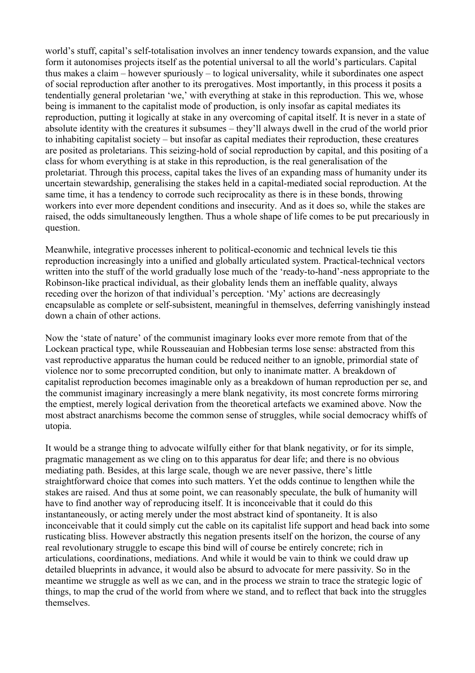world's stuff, capital's self-totalisation involves an inner tendency towards expansion, and the value form it autonomises projects itself as the potential universal to all the world's particulars. Capital thus makes a claim – however spuriously – to logical universality, while it subordinates one aspect of social reproduction after another to its prerogatives. Most importantly, in this process it posits a tendentially general proletarian 'we,' with everything at stake in this reproduction. This we, whose being is immanent to the capitalist mode of production, is only insofar as capital mediates its reproduction, putting it logically at stake in any overcoming of capital itself. It is never in a state of absolute identity with the creatures it subsumes – they'll always dwell in the crud of the world prior to inhabiting capitalist society – but insofar as capital mediates their reproduction, these creatures are posited as proletarians. This seizing-hold of social reproduction by capital, and this positing of a class for whom everything is at stake in this reproduction, is the real generalisation of the proletariat. Through this process, capital takes the lives of an expanding mass of humanity under its uncertain stewardship, generalising the stakes held in a capital-mediated social reproduction. At the same time, it has a tendency to corrode such reciprocality as there is in these bonds, throwing workers into ever more dependent conditions and insecurity. And as it does so, while the stakes are raised, the odds simultaneously lengthen. Thus a whole shape of life comes to be put precariously in question.

Meanwhile, integrative processes inherent to political-economic and technical levels tie this reproduction increasingly into a unified and globally articulated system. Practical-technical vectors written into the stuff of the world gradually lose much of the 'ready-to-hand'-ness appropriate to the Robinson-like practical individual, as their globality lends them an ineffable quality, always receding over the horizon of that individual's perception. 'My' actions are decreasingly encapsulable as complete or self-subsistent, meaningful in themselves, deferring vanishingly instead down a chain of other actions.

Now the 'state of nature' of the communist imaginary looks ever more remote from that of the Lockean practical type, while Rousseauian and Hobbesian terms lose sense: abstracted from this vast reproductive apparatus the human could be reduced neither to an ignoble, primordial state of violence nor to some precorrupted condition, but only to inanimate matter. A breakdown of capitalist reproduction becomes imaginable only as a breakdown of human reproduction per se, and the communist imaginary increasingly a mere blank negativity, its most concrete forms mirroring the emptiest, merely logical derivation from the theoretical artefacts we examined above. Now the most abstract anarchisms become the common sense of struggles, while social democracy whiffs of utopia.

It would be a strange thing to advocate wilfully either for that blank negativity, or for its simple, pragmatic management as we cling on to this apparatus for dear life; and there is no obvious mediating path. Besides, at this large scale, though we are never passive, there's little straightforward choice that comes into such matters. Yet the odds continue to lengthen while the stakes are raised. And thus at some point, we can reasonably speculate, the bulk of humanity will have to find another way of reproducing itself. It is inconceivable that it could do this instantaneously, or acting merely under the most abstract kind of spontaneity. It is also inconceivable that it could simply cut the cable on its capitalist life support and head back into some rusticating bliss. However abstractly this negation presents itself on the horizon, the course of any real revolutionary struggle to escape this bind will of course be entirely concrete; rich in articulations, coordinations, mediations. And while it would be vain to think we could draw up detailed blueprints in advance, it would also be absurd to advocate for mere passivity. So in the meantime we struggle as well as we can, and in the process we strain to trace the strategic logic of things, to map the crud of the world from where we stand, and to reflect that back into the struggles themselves.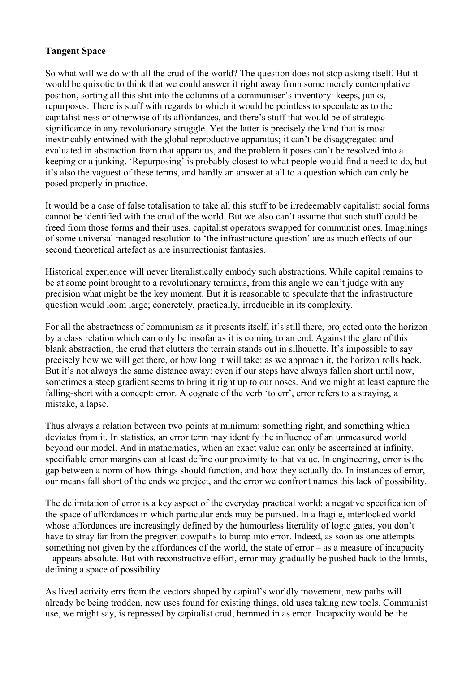# **Tangent Space**

So what will we do with all the crud of the world? The question does not stop asking itself. But it would be quixotic to think that we could answer it right away from some merely contemplative position, sorting all this shit into the columns of a communiser's inventory: keeps, junks, repurposes. There is stuff with regards to which it would be pointless to speculate as to the capitalist-ness or otherwise of its affordances, and there's stuff that would be of strategic significance in any revolutionary struggle. Yet the latter is precisely the kind that is most inextricably entwined with the global reproductive apparatus; it can't be disaggregated and evaluated in abstraction from that apparatus, and the problem it poses can't be resolved into a keeping or a junking. 'Repurposing' is probably closest to what people would find a need to do, but it's also the vaguest of these terms, and hardly an answer at all to a question which can only be posed properly in practice.

It would be a case of false totalisation to take all this stuff to be irredeemably capitalist: social forms cannot be identified with the crud of the world. But we also can't assume that such stuff could be freed from those forms and their uses, capitalist operators swapped for communist ones. Imaginings of some universal managed resolution to 'the infrastructure question' are as much effects of our second theoretical artefact as are insurrectionist fantasies.

Historical experience will never literalistically embody such abstractions. While capital remains to be at some point brought to a revolutionary terminus, from this angle we can't judge with any precision what might be the key moment. But it is reasonable to speculate that the infrastructure question would loom large; concretely, practically, irreducible in its complexity.

For all the abstractness of communism as it presents itself, it's still there, projected onto the horizon by a class relation which can only be insofar as it is coming to an end. Against the glare of this blank abstraction, the crud that clutters the terrain stands out in silhouette. It's impossible to say precisely how we will get there, or how long it will take: as we approach it, the horizon rolls back. But it's not always the same distance away: even if our steps have always fallen short until now, sometimes a steep gradient seems to bring it right up to our noses. And we might at least capture the falling-short with a concept: error. A cognate of the verb 'to err', error refers to a straying, a mistake, a lapse.

Thus always a relation between two points at minimum: something right, and something which deviates from it. In statistics, an error term may identify the influence of an unmeasured world beyond our model. And in mathematics, when an exact value can only be ascertained at infinity, specifiable error margins can at least define our proximity to that value. In engineering, error is the gap between a norm of how things should function, and how they actually do. In instances of error, our means fall short of the ends we project, and the error we confront names this lack of possibility.

The delimitation of error is a key aspect of the everyday practical world; a negative specification of the space of affordances in which particular ends may be pursued. In a fragile, interlocked world whose affordances are increasingly defined by the humourless literality of logic gates, you don't have to stray far from the pregiven cowpaths to bump into error. Indeed, as soon as one attempts something not given by the affordances of the world, the state of error – as a measure of incapacity – appears absolute. But with reconstructive effort, error may gradually be pushed back to the limits, defining a space of possibility.

As lived activity errs from the vectors shaped by capital's worldly movement, new paths will already be being trodden, new uses found for existing things, old uses taking new tools. Communist use, we might say, is repressed by capitalist crud, hemmed in as error. Incapacity would be the